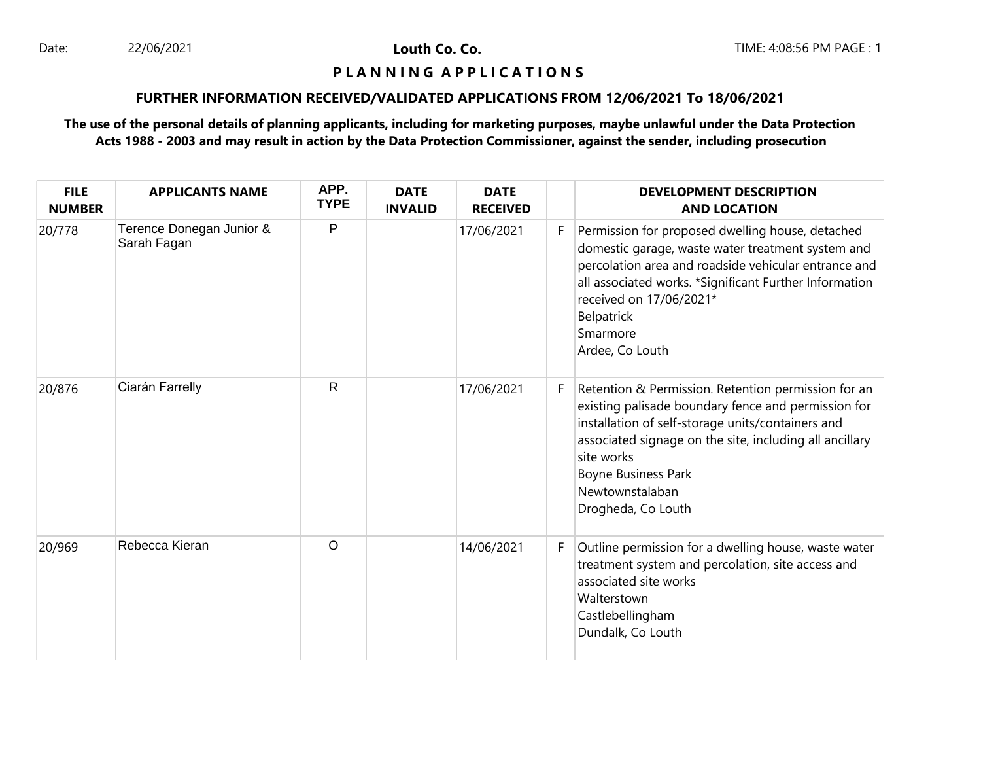Date: 22/06/2021 **Louth Co. Co. Co. Co.** TIME: 4:08:56 PM PAGE : 1

Louth Co. Co.

### **P L A N N I N G A P P L I C A T I O N S**

### **FURTHER INFORMATION RECEIVED/VALIDATED APPLICATIONS FROM 12/06/2021 To 18/06/2021**

# **The use of the personal details of planning applicants, including for marketing purposes, maybe unlawful under the Data Protection Acts 1988 - 2003 and may result in action by the Data Protection Commissioner, against the sender, including prosecution**

| <b>FILE</b><br><b>NUMBER</b> | <b>APPLICANTS NAME</b>                  | APP.<br><b>TYPE</b> | <b>DATE</b><br><b>INVALID</b> | <b>DATE</b><br><b>RECEIVED</b> |    | <b>DEVELOPMENT DESCRIPTION</b><br><b>AND LOCATION</b>                                                                                                                                                                                                                                                           |
|------------------------------|-----------------------------------------|---------------------|-------------------------------|--------------------------------|----|-----------------------------------------------------------------------------------------------------------------------------------------------------------------------------------------------------------------------------------------------------------------------------------------------------------------|
| 20/778                       | Terence Donegan Junior &<br>Sarah Fagan | P                   |                               | 17/06/2021                     | F. | Permission for proposed dwelling house, detached<br>domestic garage, waste water treatment system and<br>percolation area and roadside vehicular entrance and<br>all associated works. *Significant Further Information<br>received on 17/06/2021*<br>Belpatrick<br>Smarmore<br>Ardee, Co Louth                 |
| 20/876                       | Ciarán Farrelly                         | R                   |                               | 17/06/2021                     | F. | Retention & Permission. Retention permission for an<br>existing palisade boundary fence and permission for<br>installation of self-storage units/containers and<br>associated signage on the site, including all ancillary<br>site works<br><b>Boyne Business Park</b><br>Newtownstalaban<br>Drogheda, Co Louth |
| 20/969                       | Rebecca Kieran                          | O                   |                               | 14/06/2021                     | F. | Outline permission for a dwelling house, waste water<br>treatment system and percolation, site access and<br>associated site works<br>Walterstown<br>Castlebellingham<br>Dundalk, Co Louth                                                                                                                      |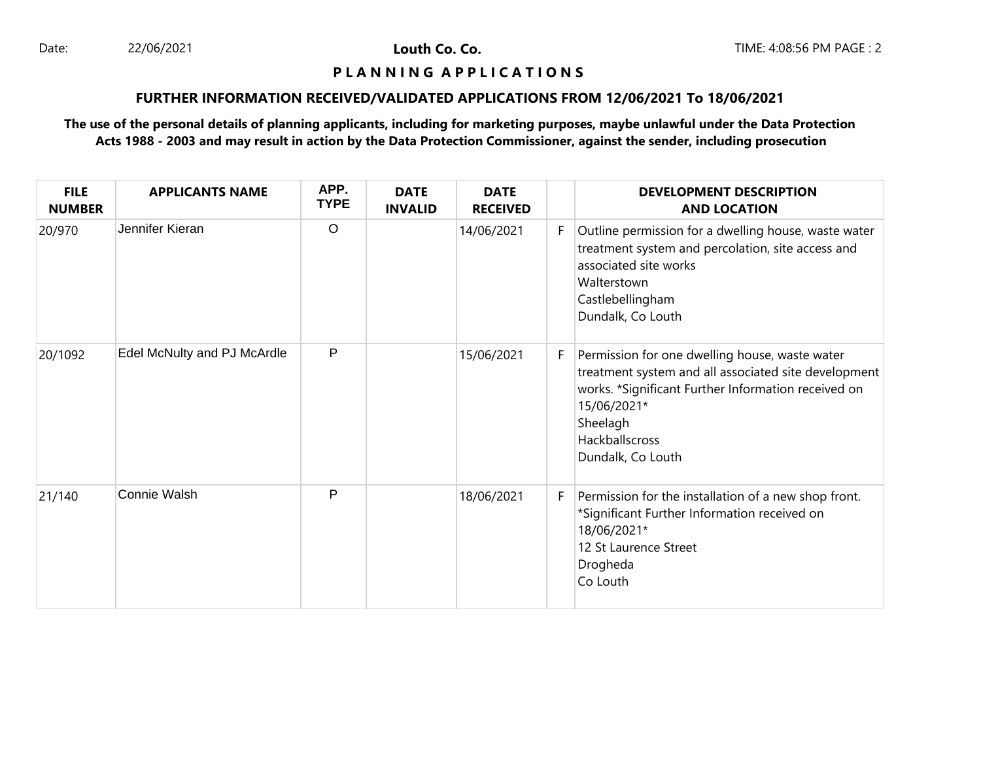Date: 22/06/2021 22/06/2021 **Louth Co. Co.** 20. 2008 22/06/2021 2010 22/06/2021 2010 22/06/2021

Louth Co. Co.

### **P L A N N I N G A P P L I C A T I O N S**

## **FURTHER INFORMATION RECEIVED/VALIDATED APPLICATIONS FROM 12/06/2021 To 18/06/2021**

# **The use of the personal details of planning applicants, including for marketing purposes, maybe unlawful under the Data Protection Acts 1988 - 2003 and may result in action by the Data Protection Commissioner, against the sender, including prosecution**

| <b>FILE</b><br><b>NUMBER</b> | <b>APPLICANTS NAME</b>      | APP.<br><b>TYPE</b> | <b>DATE</b><br><b>INVALID</b> | <b>DATE</b><br><b>RECEIVED</b> |    | <b>DEVELOPMENT DESCRIPTION</b><br><b>AND LOCATION</b>                                                                                                                                                                           |
|------------------------------|-----------------------------|---------------------|-------------------------------|--------------------------------|----|---------------------------------------------------------------------------------------------------------------------------------------------------------------------------------------------------------------------------------|
| 20/970                       | Jennifer Kieran             | $\circ$             |                               | 14/06/2021                     | F. | Outline permission for a dwelling house, waste water<br>treatment system and percolation, site access and<br>associated site works<br>Walterstown<br>Castlebellingham<br>Dundalk, Co Louth                                      |
| 20/1092                      | Edel McNulty and PJ McArdle | P                   |                               | 15/06/2021                     | F. | Permission for one dwelling house, waste water<br>treatment system and all associated site development<br>works. *Significant Further Information received on<br>15/06/2021*<br>Sheelagh<br>Hackballscross<br>Dundalk, Co Louth |
| 21/140                       | Connie Walsh                | P                   |                               | 18/06/2021                     | F. | Permission for the installation of a new shop front.<br>*Significant Further Information received on<br>18/06/2021*<br>12 St Laurence Street<br>Drogheda<br>Co Louth                                                            |